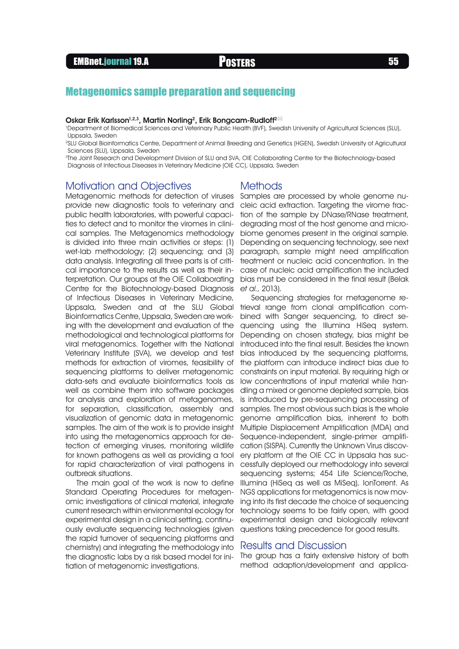# Metagenomics sample preparation and sequencing

#### Oskar Erik Karlsson<sup>1,2,3</sup>, Martin Norling<sup>2</sup>, Erik Bongcam-Rudloff<sup>2⊠</sup>

1 Department of Biomedical Sciences and Veterinary Public Health (BVF), Swedish University of Agricultural Sciences (SLU), Uppsala, Sweden

2 SLU Global Bioinformatics Centre, Department of Animal Breeding and Genetics (HGEN), Swedish University of Agricultural Sciences (SLU), Uppsala, Sweden

3 The Joint Research and Development Division of SLU and SVA, OIE Collaborating Centre for the Biotechnology-based Diagnosis of Infectious Diseases in Veterinary Medicine (OIE CC), Uppsala, Sweden

## Motivation and Objectives

Metagenomic methods for detection of viruses provide new diagnostic tools to veterinary and public health laboratories, with powerful capacities to detect and to monitor the viromes in clinical samples. The Metagenomics methodology is divided into three main activities or steps: (1) wet-lab methodology; (2) sequencing; and (3) data analysis. Integrating all three parts is of critical importance to the results as well as their interpretation. Our groups at the OIE Collaborating Centre for the Biotechnology-based Diagnosis of Infectious Diseases in Veterinary Medicine, Uppsala, Sweden and at the SLU Global Bioinformatics Centre, Uppsala, Sweden are working with the development and evaluation of the methodological and technological platforms for viral metagenomics. Together with the National Veterinary Institute (SVA), we develop and test methods for extraction of viromes, feasibility of sequencing platforms to deliver metagenomic data-sets and evaluate bioinformatics tools as well as combine them into software packages for analysis and exploration of metagenomes, for separation, classification, assembly and visualization of genomic data in metagenomic samples. The aim of the work is to provide insight into using the metagenomics approach for detection of emerging viruses, monitoring wildlife for known pathogens as well as providing a tool for rapid characterization of viral pathogens in outbreak situations.

The main goal of the work is now to define Standard Operating Procedures for metagenomic investigations of clinical material, integrate current research within environmental ecology for experimental design in a clinical setting, continuously evaluate sequencing technologies (given the rapid turnover of sequencing platforms and chemistry) and integrating the methodology into the diagnostic labs by a risk based model for initiation of metagenomic investigations.

### Methods

Samples are processed by whole genome nucleic acid extraction. Targeting the virome fraction of the sample by DNase/RNase treatment, degrading most of the host genome and microbiome genomes present in the original sample. Depending on sequencing technology, see next paragraph, sample might need amplification treatment or nucleic acid concentration. In the case of nucleic acid amplification the included bias must be considered in the final result (Belak et al., 2013).

Sequencing strategies for metagenome retrieval range from clonal amplification combined with Sanger sequencing, to direct sequencing using the Illumina HiSeq system. Depending on chosen strategy, bias might be introduced into the final result. Besides the known bias introduced by the sequencing platforms, the platform can introduce indirect bias due to constraints on input material. By requiring high or low concentrations of input material while handling a mixed or genome depleted sample, bias is introduced by pre-sequencing processing of samples. The most obvious such bias is the whole genome amplification bias, inherent to both Multiple Displacement Amplification (MDA) and Sequence-independent, single-primer amplification (SISPA). Currently the Unknown Virus discovery platform at the OIE CC in Uppsala has successfully deployed our methodology into several sequencing systems; 454 Life Science/Roche, Illumina (HiSeq as well as MiSeq), IonTorrent. As NGS applications for metagenomics is now moving into its first decade the choice of sequencing technology seems to be fairly open, with good experimental design and biologically relevant questions taking precedence for good results.

## Results and Discussion

The group has a fairly extensive history of both method adaption/development and applica-